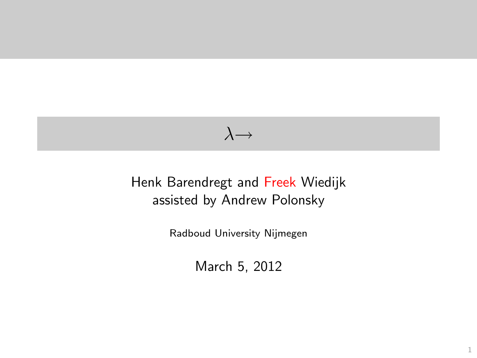## $\lambda \rightarrow$

#### <span id="page-0-0"></span>Henk Barendregt and Freek Wiedijk assisted by Andrew Polonsky

Radboud University Nijmegen

March 5, 2012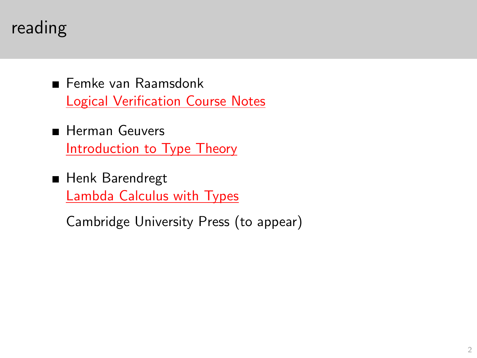# reading

- Femke van Raamsdonk [Logical Verification Course Notes](http://www.cs.ru.nl/~freek/courses/lambda-2012/notes.pdf)
- **Herman Geuvers** [Introduction to Type Theory](http://www.cs.ru.nl/~freek/courses/lambda-2012/IntroTT-improved.pdf)
- **Henk Barendregt** [Lambda Calculus with Types](http://www.cs.ru.nl/~henk/book.pdf)

<span id="page-1-0"></span>Cambridge University Press (to appear)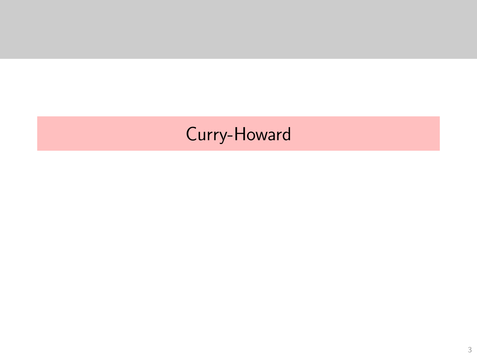# <span id="page-2-0"></span>Curry-Howard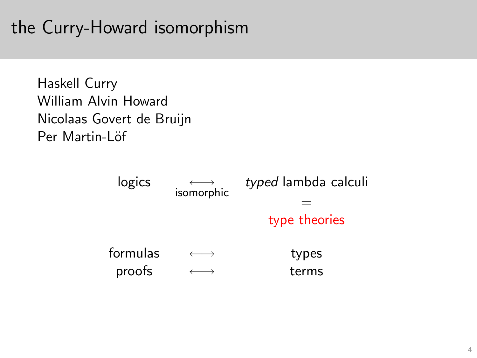# the Curry-Howard isomorphism

Haskell Curry William Alvin Howard Nicolaas Govert de Bruijn Per Martin-Löf

<span id="page-3-0"></span>

| logics   | isomorphic | typed lambda calculi |
|----------|------------|----------------------|
|          |            |                      |
|          |            | type theories        |
| formulas |            | types                |
| proofs   |            | terms                |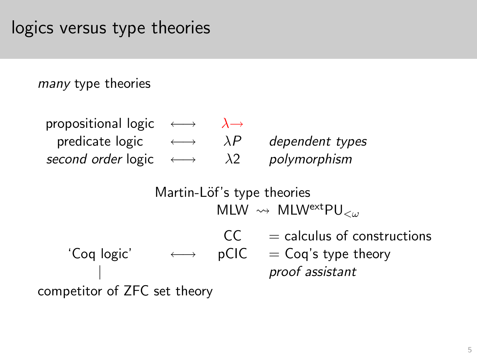many type theories

| propositional logic $\longleftrightarrow$ |                       |             |                 |
|-------------------------------------------|-----------------------|-------------|-----------------|
| predicate logic                           | $\longleftrightarrow$ | $\lambda P$ | dependent types |
| second order logic                        | $\longleftrightarrow$ | $\lambda$ 2 | polymorphism    |

Martin-Löf's type theories MLW  $\rightsquigarrow$  MLWextpu<sub> $\lt\omega$ </sub>

 $CC =$  calculus of constructions 'Coq logic'  $\longleftrightarrow$  pCIC = Coq's type theory | proof assistant

<span id="page-4-0"></span>competitor of ZFC set theory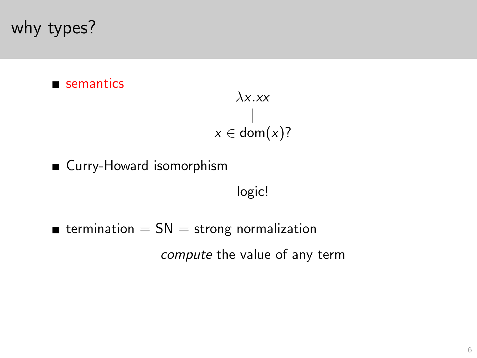# why types?

#### semantics

$$
\lambda x. xx
$$
  
 |  

$$
x \in \text{dom}(x)?
$$

■ Curry-Howard isomorphism

logic!

<span id="page-5-0"></span> $\blacksquare$  termination =  $SN$  = strong normalization compute the value of any term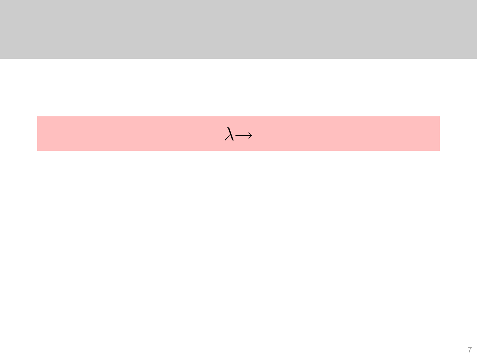<span id="page-6-0"></span>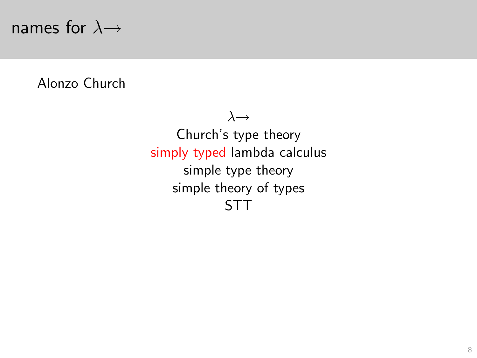## names for  $\lambda \rightarrow$

<span id="page-7-0"></span>Alonzo Church

 $\lambda \rightarrow$ Church's type theory simply typed lambda calculus simple type theory simple theory of types STT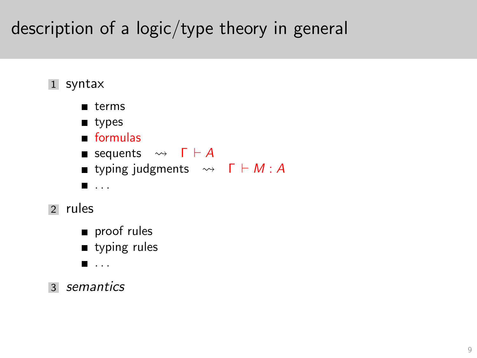# description of a logic/type theory in general



<span id="page-8-0"></span>3 semantics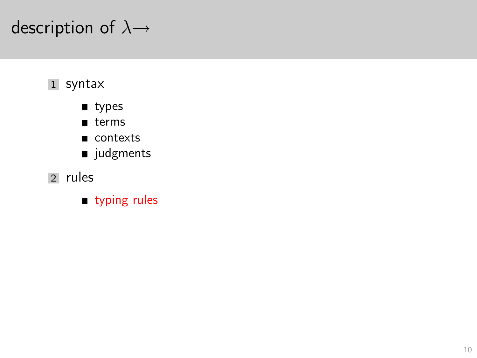# description of  $\lambda \rightarrow$

#### 1 syntax

- um types
- $\blacksquare$  terms
- contexts
- udgments
- <span id="page-9-0"></span>2 rules
	- typing rules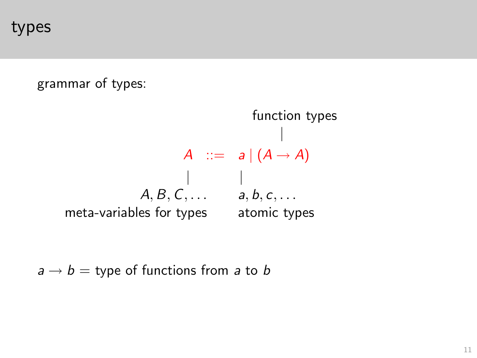types

grammar of types:

function types | A ::=  $a|(A \rightarrow A)$  $\|$  $A, B, C, \ldots$  a, b, c,  $\ldots$ meta-variables for types atomic types

<span id="page-10-0"></span> $a \rightarrow b =$  type of functions from a to b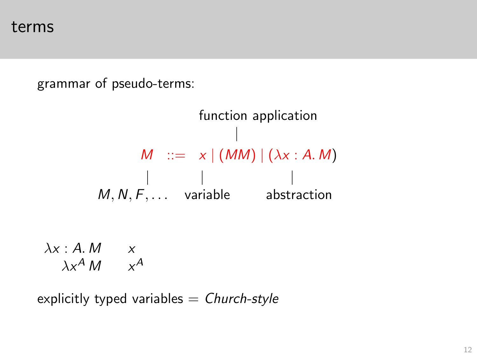terms

grammar of pseudo-terms:

function application |  $M$  ::=  $x | (MM) | (\lambda x : A. M)$ | | |  $M, N, F, \ldots$  variable abstraction  $\lambda x : A. M \longrightarrow$  $\lambda x^A M x^A$ 

<span id="page-11-0"></span>explicitly typed variables  $=$  Church-style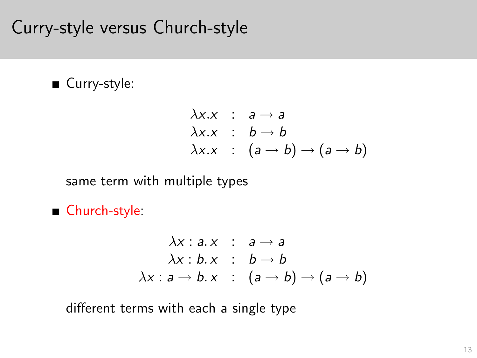# Curry-style versus Church-style

#### ■ Curry-style:

$$
\lambda x.x : a \rightarrow a
$$
  
\n
$$
\lambda x.x : b \rightarrow b
$$
  
\n
$$
\lambda x.x : (a \rightarrow b) \rightarrow (a \rightarrow b)
$$

same term with multiple types

Church-style:

$$
\lambda x : a \cdot x : a \rightarrow a
$$
  
\n
$$
\lambda x : b \cdot x : b \rightarrow b
$$
  
\n
$$
\lambda x : a \rightarrow b \cdot x : (a \rightarrow b) \rightarrow (a \rightarrow b)
$$

<span id="page-12-0"></span>different terms with each a single type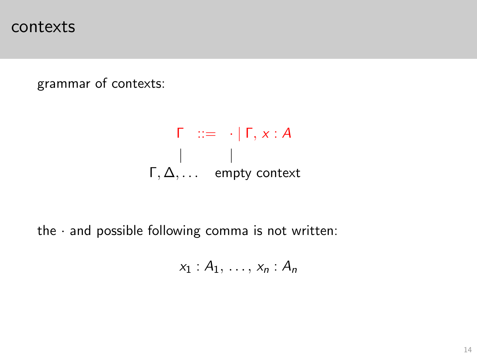contexts

grammar of contexts:

$$
\begin{array}{ccc}\n\Gamma & ::= & \cdot | \Gamma, x : A \\
\mid & \mid \\
\Gamma, \Delta, \dots & \text{empty context}\n\end{array}
$$

<span id="page-13-0"></span>the  $\cdot$  and possible following comma is not written:

$$
x_1:A_1,\ldots,x_n:A_n
$$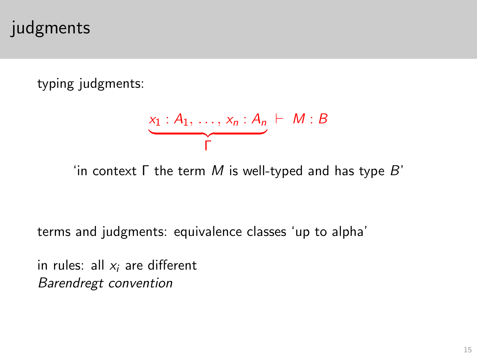# judgments

typing judgments:

$$
\underbrace{x_1: A_1, \ldots, x_n: A_n}_{\Gamma} \vdash M:B
$$

'in context  $\Gamma$  the term M is well-typed and has type B'

terms and judgments: equivalence classes 'up to alpha'

<span id="page-14-0"></span>in rules: all  $x_i$  are different Barendregt convention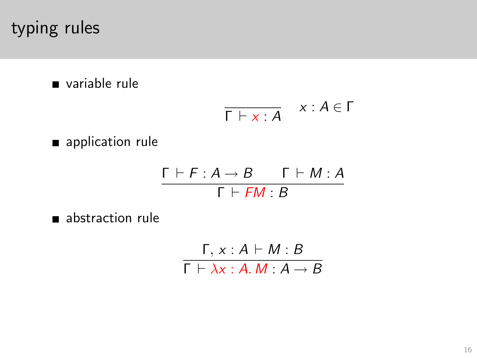# typing rules

variable rule

$$
\overline{\Gamma \vdash x : A} \quad x : A \in \Gamma
$$

**application rule** 

$$
\frac{\Gamma \vdash F : A \to B \qquad \Gamma \vdash M : A}{\Gamma \vdash FM : B}
$$

<span id="page-15-0"></span>abstraction rule

$$
\frac{\Gamma, x:A \vdash M:B}{\Gamma \vdash \lambda x:A.M:A \rightarrow B}
$$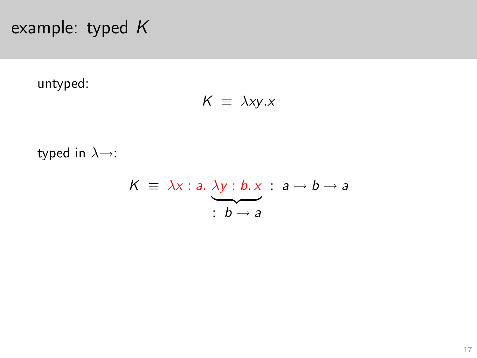example: typed K

untyped:

$$
K \equiv \lambda xy.x
$$

<span id="page-16-0"></span>typed in  $\lambda \rightarrow$ :

$$
K \equiv \lambda x : a. \ \lambda y : b. x : a \rightarrow b \rightarrow a
$$

$$
b \rightarrow a
$$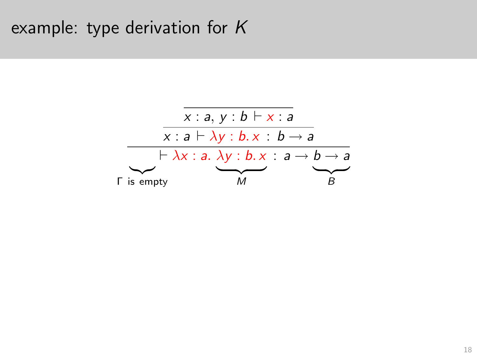# example: type derivation for K

<span id="page-17-0"></span>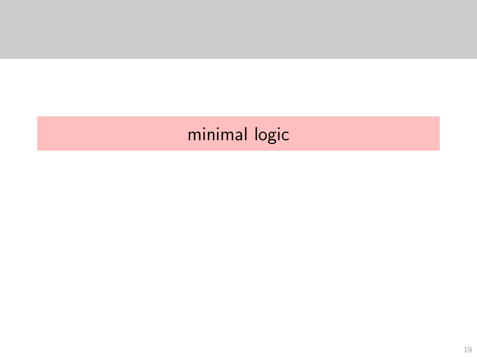# <span id="page-18-0"></span>minimal logic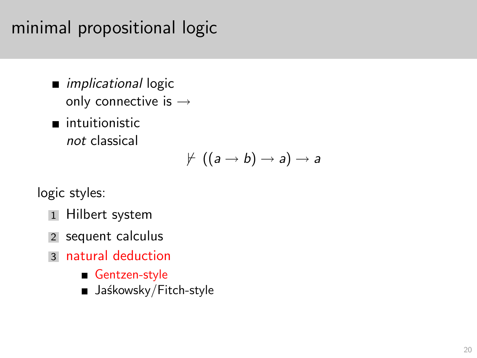# minimal propositional logic

- **n** *implicational* logic only connective is →
- ntuitionistic not classical

$$
\nvdash ((a \rightarrow b) \rightarrow a) \rightarrow a
$$

logic styles:

- 1 Hilbert system
- 2 sequent calculus
- <span id="page-19-0"></span>3 natural deduction
	- Gentzen-style
	- Jaśkowsky/Fitch-style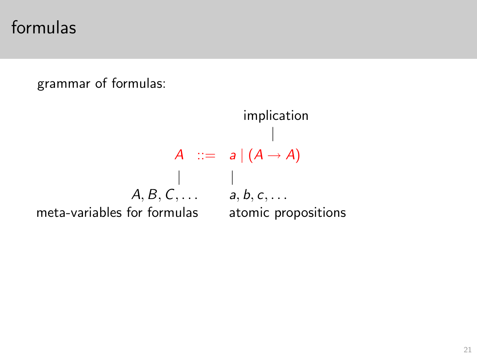formulas

grammar of formulas:

<span id="page-20-0"></span>implication | A ::=  $a|(A \rightarrow A)$  $\|$  $A, B, C, \ldots$  a, b, c,  $\ldots$ meta-variables for formulas atomic propositions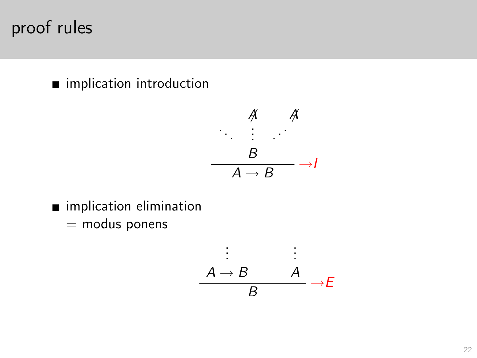proof rules

mimplication introduction

$$
\begin{array}{c}\n\mathcal{A} & \mathcal{A} \\
\vdots & \vdots \\
\hline\nA \to B\n\end{array}
$$

- <span id="page-21-0"></span>mimplication elimination
	- $=$  modus ponens

$$
\begin{array}{ccc}\n\vdots & \vdots \\
A \rightarrow B & A \\
B & \rightarrow E\n\end{array}
$$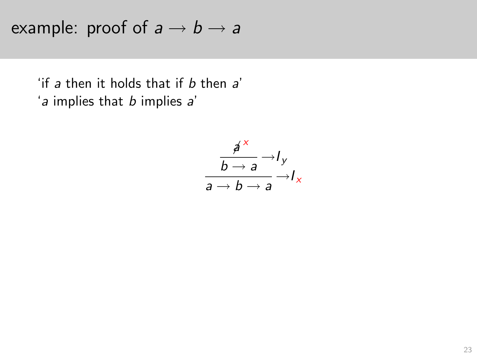example: proof of  $a \rightarrow b \rightarrow a$ 

<span id="page-22-0"></span>'if a then it holds that if b then a' 'a implies that b implies a'

$$
\frac{\cancel{a}^{\cancel{\times}}}{\cancel{b} \rightarrow \cancel{a}} \rightarrow I_y
$$
\n
$$
\cancel{a} \rightarrow \cancel{b} \rightarrow \cancel{a}
$$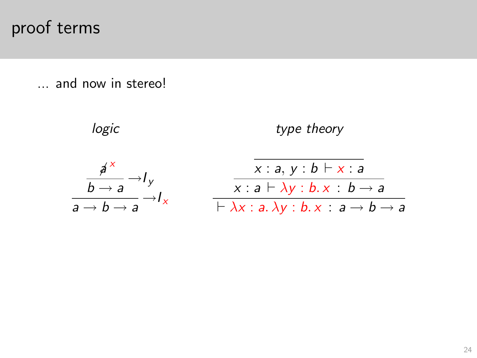# proof terms

... and now in stereo!

<span id="page-23-0"></span>
$$
\text{logic} \qquad \text{type theory}
$$
\n
$$
\frac{A^x}{b \rightarrow a} \rightarrow I_y
$$
\n
$$
\frac{x : a, y : b \vdash x : a}{x : a \vdash \lambda y : b. x : b \rightarrow a}
$$
\n
$$
\frac{x : a \vdash \lambda y : b. x : b \rightarrow a}{\vdash \lambda x : a. \lambda y : b. x : a \rightarrow b \rightarrow a}
$$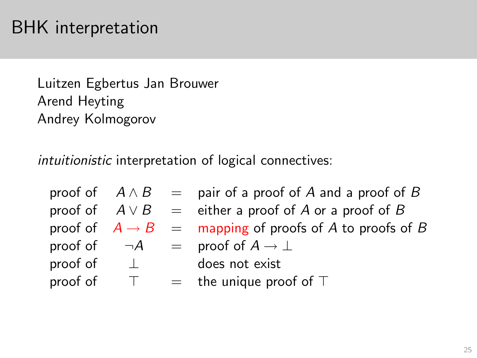# BHK interpretation

Luitzen Egbertus Jan Brouwer Arend Heyting Andrey Kolmogorov

intuitionistic interpretation of logical connectives:

<span id="page-24-0"></span>

|                        |        | proof of $A \wedge B =$ pair of a proof of A and a proof of B      |
|------------------------|--------|--------------------------------------------------------------------|
|                        |        | proof of $A \vee B =$ either a proof of A or a proof of B          |
|                        |        | proof of $A \rightarrow B$ = mapping of proofs of A to proofs of B |
|                        |        | proof of $\neg A$ = proof of $A \rightarrow \bot$                  |
| proof of $\quad \perp$ |        | does not exist                                                     |
| proof of               | $\top$ | $=$ the unique proof of $\top$                                     |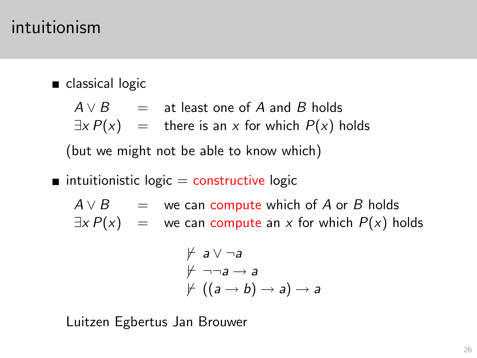### intuitionism

#### classical logic

$$
A \vee B = \text{at least one of } A \text{ and } B \text{ holds}
$$
  

$$
\exists x P(x) = \text{there is an } x \text{ for which } P(x) \text{ holds}
$$
  
(but we might not be able to know which)

 $\blacksquare$  intuitionistic logic  $=$  constructive logic

 $A \vee B =$  we can compute which of A or B holds  $\exists x P(x)$  = we can compute an x for which  $P(x)$  holds

$$
\begin{array}{l}\n\neq a \lor \neg a \\
\neq \neg \neg a \rightarrow a \\
\neq ((a \rightarrow b) \rightarrow a) \rightarrow a\n\end{array}
$$

<span id="page-25-0"></span>Luitzen Egbertus Jan Brouwer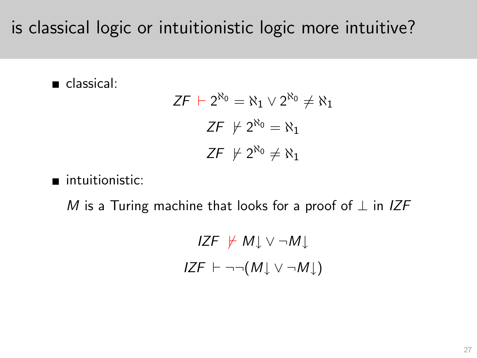is classical logic or intuitionistic logic more intuitive?

classical:

$$
ZF + 2^{\aleph_0} = \aleph_1 \vee 2^{\aleph_0} \neq \aleph_1
$$

$$
ZF \neq 2^{\aleph_0} = \aleph_1
$$

$$
ZF \neq 2^{\aleph_0} \neq \aleph_1
$$

ntuitionistic:

<span id="page-26-0"></span>M is a Turing machine that looks for a proof of  $\perp$  in IZF

IZF  $\forall$  M↓ ∨ ¬M↓  $IZF \vdash \neg\neg(M \downarrow \lor \neg M \downarrow)$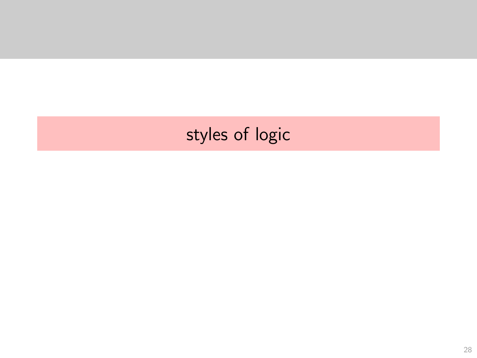# <span id="page-27-0"></span>styles of logic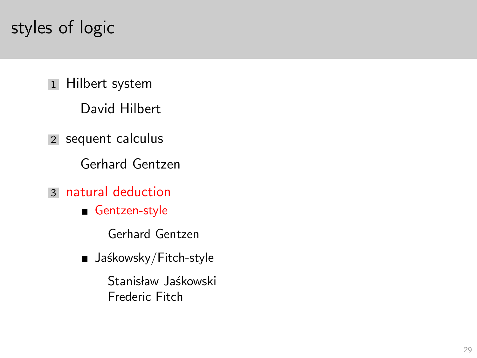# styles of logic

1 Hilbert system

David Hilbert

2 sequent calculus

Gerhard Gentzen

- <span id="page-28-0"></span>3 natural deduction
	- Gentzen-style
		- Gerhard Gentzen
	- $\blacksquare$  Jaśkowsky/Fitch-style

Stanisław Jaśkowski Frederic Fitch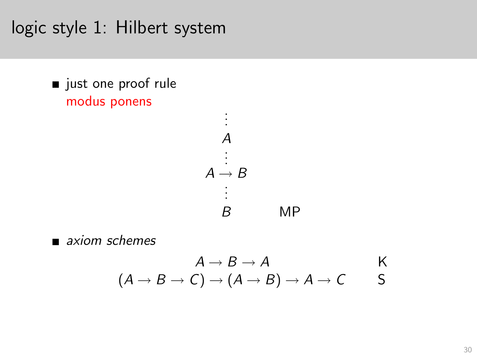logic style 1: Hilbert system

ust one proof rule modus ponens



<span id="page-29-0"></span> $\blacksquare$  axiom schemes

$$
A \to B \to A
$$
 K  

$$
(A \to B \to C) \to (A \to B) \to A \to C
$$
 S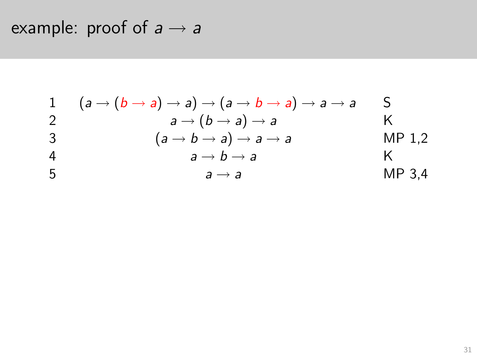example: proof of  $a \rightarrow a$ 

<span id="page-30-0"></span>1 
$$
(a \rightarrow (b \rightarrow a) \rightarrow a) \rightarrow (a \rightarrow b \rightarrow a) \rightarrow a \rightarrow a
$$
  
\n2  $a \rightarrow (b \rightarrow a) \rightarrow a$   
\n3  $(a \rightarrow b \rightarrow a) \rightarrow a \rightarrow a$   
\n4  $a \rightarrow b \rightarrow a$   
\n5  $a \rightarrow a$   
\n $a \rightarrow a$   
\n $a \rightarrow a$   
\n $a \rightarrow a$   
\n $MP 3,4$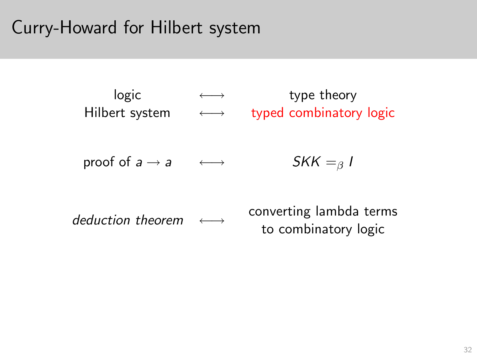# Curry-Howard for Hilbert system

<span id="page-31-0"></span>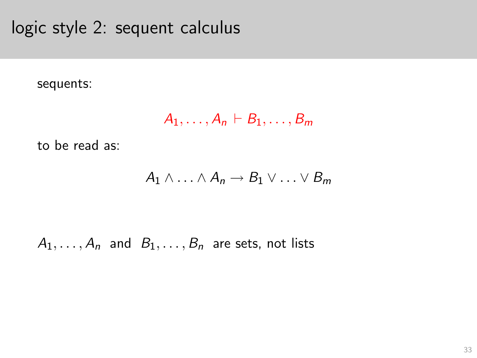logic style 2: sequent calculus

sequents:

$$
A_1,\ldots,A_n\vdash B_1,\ldots,B_m
$$

to be read as:

$$
A_1 \wedge \ldots \wedge A_n \to B_1 \vee \ldots \vee B_m
$$

<span id="page-32-0"></span> $A_1, \ldots, A_n$  and  $B_1, \ldots, B_n$  are sets, not lists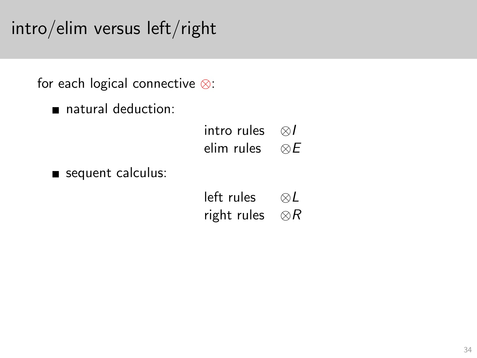intro/elim versus left/right

for each logical connective ⊗:

natural deduction:

| intro rules | ⊗/          |
|-------------|-------------|
| elim rules  | $\otimes E$ |

<span id="page-33-0"></span>sequent calculus:

| left rules  | ⊗ $L$    |
|-------------|----------|
| right rules | ⊗ $_{R}$ |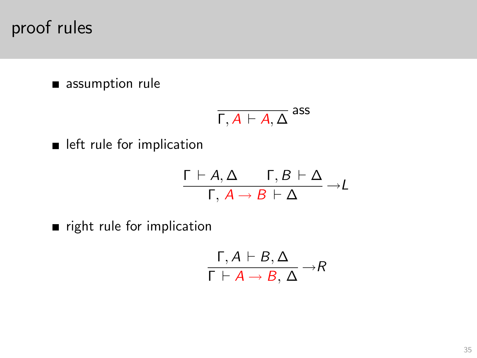proof rules

assumption rule

$$
\overline{\Gamma,A\vdash A,\Delta}^{\rm ass}
$$

**In** left rule for implication

$$
\frac{\Gamma \vdash A, \Delta \qquad \Gamma, B \vdash \Delta}{\Gamma, A \rightarrow B \vdash \Delta} \rightarrow L
$$

<span id="page-34-0"></span> $\blacksquare$  right rule for implication

$$
\frac{\Gamma, A \vdash B, \Delta}{\Gamma \vdash A \rightarrow B, \, \Delta} \rightarrow R
$$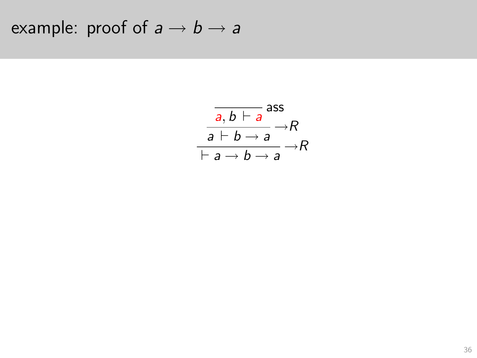<span id="page-35-0"></span>example: proof of  $a \rightarrow b \rightarrow a$ 

$$
\frac{\overline{a,b \vdash a}}{a \vdash b \rightarrow a} \rightarrow R
$$
  
 
$$
\overline{a \vdash b \rightarrow a} \rightarrow R
$$
  
 
$$
\overline{a \rightarrow b \rightarrow a} \rightarrow R
$$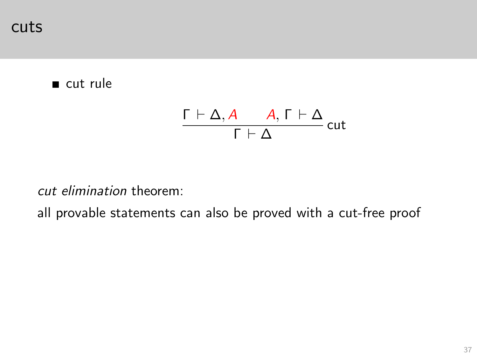cuts

#### cut rule

$$
\frac{\Gamma\vdash\Delta,A\qquad A,\Gamma\vdash\Delta}{\Gamma\vdash\Delta}\,\mathsf{cut}
$$

cut elimination theorem:

<span id="page-36-0"></span>all provable statements can also be proved with a cut-free proof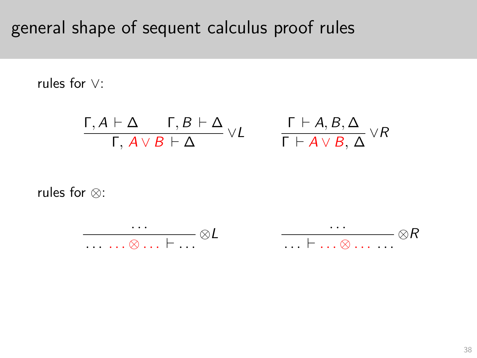# general shape of sequent calculus proof rules

rules for ∨:

$$
\frac{\Gamma, A \vdash \Delta \qquad \Gamma, B \vdash \Delta}{\Gamma, A \lor B \vdash \Delta} \lor L \qquad \frac{\Gamma \vdash A, B, \Delta}{\Gamma \vdash A \lor B, \Delta} \lor R
$$

<span id="page-37-0"></span>rules for ⊗:

$$
\frac{\ldots}{\ldots \ldots \otimes \ldots \vdash \ldots} \otimes L \qquad \qquad \frac{\ldots}{\ldots \vdash \ldots \otimes \ldots \ldots} \otimes R
$$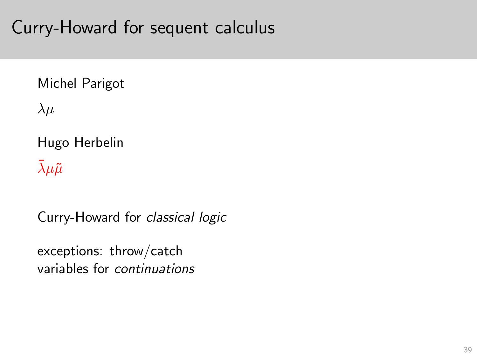# Curry-Howard for sequent calculus

#### Michel Parigot

 $\lambda \mu$ 

Hugo Herbelin

 $\bar{\lambda} \mu \tilde{\mu}$ 

Curry-Howard for classical logic

<span id="page-38-0"></span>exceptions: throw/catch variables for continuations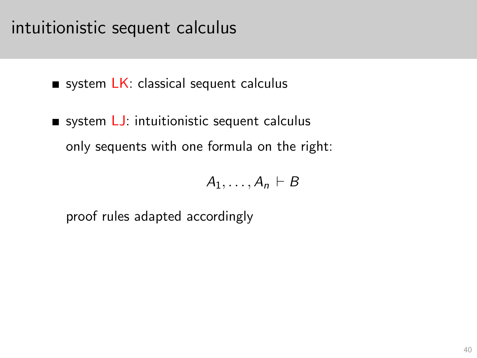## intuitionistic sequent calculus

system  $LK$ : classical sequent calculus

system  $LJ$ : intuitionistic sequent calculus only sequents with one formula on the right:

$$
A_1,\ldots,A_n\vdash B
$$

<span id="page-39-0"></span>proof rules adapted accordingly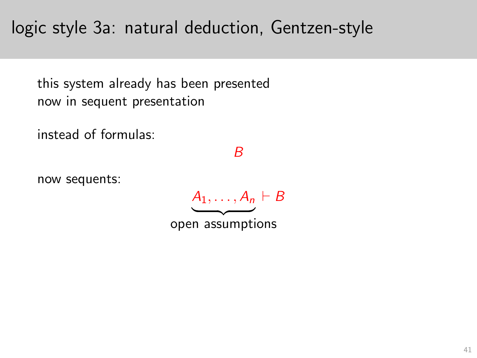logic style 3a: natural deduction, Gentzen-style

this system already has been presented now in sequent presentation

instead of formulas:

#### B

<span id="page-40-0"></span>now sequents:

 $A_1, \ldots, A_n \vdash B$  $\longrightarrow$ 

open assumptions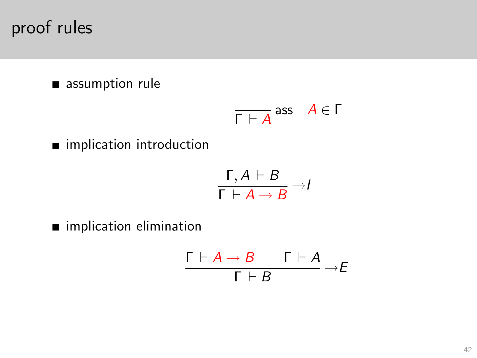proof rules

assumption rule

$$
\overline{\Gamma \vdash A} \text{ ass } A \in \Gamma
$$

**n** implication introduction

$$
\frac{\Gamma, A \vdash B}{\Gamma \vdash A \rightarrow B} \rightarrow I
$$

<span id="page-41-0"></span>**n** implication elimination

$$
\frac{\Gamma \vdash A \to B \qquad \Gamma \vdash A}{\Gamma \vdash B} \to E
$$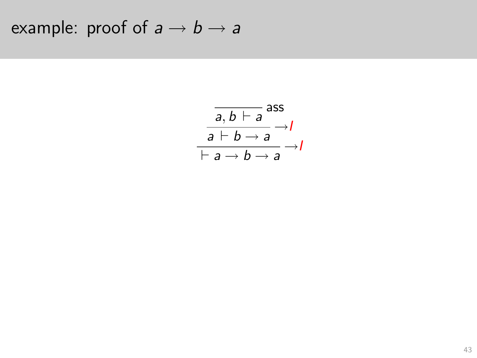<span id="page-42-0"></span>example: proof of  $a \rightarrow b \rightarrow a$ 

$$
\frac{\overline{a,b \vdash a} \text{ ass}}{\overline{a \vdash b \rightarrow a}} \rightarrow I
$$
\n
$$
\overline{\vdash a \rightarrow b \rightarrow a} \rightarrow I
$$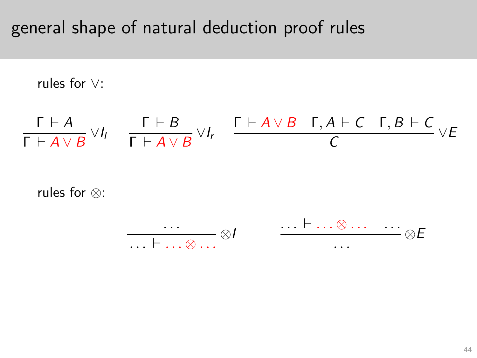# general shape of natural deduction proof rules

rules for ∨:

$$
\frac{\Gamma \vdash A}{\Gamma \vdash A \vee B} \vee I_1 \quad \frac{\Gamma \vdash B}{\Gamma \vdash A \vee B} \vee I_r \quad \frac{\Gamma \vdash A \vee B \quad \Gamma, A \vdash C \quad \Gamma, B \vdash C}{C} \vee E
$$

<span id="page-43-0"></span>rules for ⊗:

$$
\frac{\cdots}{\cdots \vdash \cdots \otimes \cdots} \otimes I \qquad \qquad \frac{\cdots \vdash \cdots \otimes \cdots}{\cdots} \otimes E
$$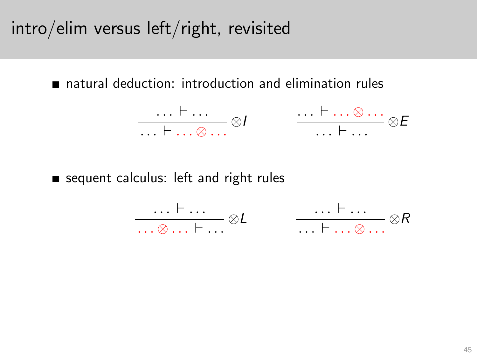intro/elim versus left/right, revisited

natural deduction: introduction and elimination rules

$$
\frac{\ldots \vdash \ldots}{\ldots \vdash \ldots \otimes \ldots} \otimes I \qquad \qquad \frac{\ldots \vdash \ldots \otimes \ldots}{\ldots \vdash \ldots} \otimes E
$$

<span id="page-44-0"></span>sequent calculus: left and right rules

$$
\frac{\ldots \vdash \ldots}{\ldots \otimes \ldots \vdash \ldots} \otimes L \qquad \qquad \frac{\ldots \vdash \ldots}{\ldots \vdash \ldots \otimes \ldots} \otimes R
$$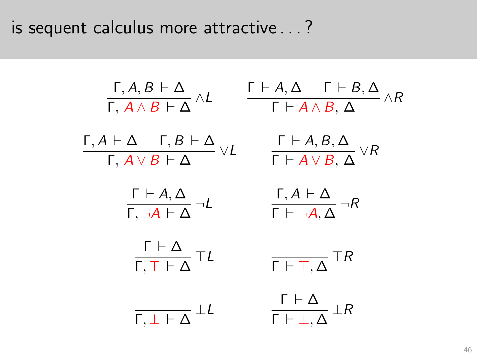is sequent calculus more attractive . . . ?

<span id="page-45-0"></span>
$$
\frac{\Gamma, A, B \vdash \Delta}{\Gamma, A \wedge B \vdash \Delta} \wedge L \qquad \frac{\Gamma \vdash A, \Delta \quad \Gamma \vdash B, \Delta}{\Gamma \vdash A \wedge B, \Delta} \wedge R
$$
\n
$$
\frac{\Gamma, A \vdash \Delta \quad \Gamma, B \vdash \Delta}{\Gamma, A \vee B \vdash \Delta} \vee L \qquad \frac{\Gamma \vdash A, B, \Delta}{\Gamma \vdash A \vee B, \Delta} \vee R
$$
\n
$$
\frac{\Gamma \vdash A, \Delta}{\Gamma, \neg A \vdash \Delta} \neg L \qquad \frac{\Gamma, A \vdash \Delta}{\Gamma \vdash \neg A, \Delta} \neg R
$$
\n
$$
\frac{\Gamma \vdash \Delta}{\Gamma, \top \vdash \Delta} \top L \qquad \frac{\Gamma \vdash \top, \Delta}{\Gamma \vdash \top, \Delta} \top R
$$
\n
$$
\frac{\Gamma \vdash \Delta}{\Gamma, \bot \vdash \Delta} \bot L \qquad \frac{\Gamma \vdash \Delta}{\Gamma \vdash \bot, \Delta} \bot R
$$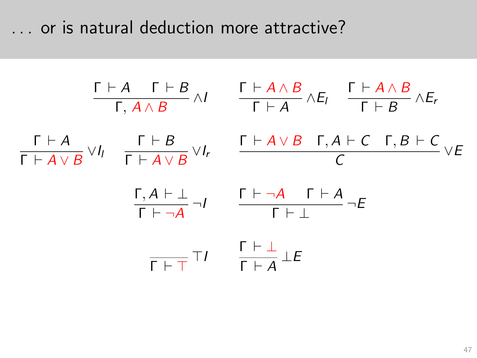. . . or is natural deduction more attractive?

<span id="page-46-0"></span>
$$
\frac{\Gamma \vdash A \quad \Gamma \vdash B}{\Gamma, A \land B} \land I \qquad \frac{\Gamma \vdash A \land B}{\Gamma \vdash A} \land E_I \qquad \frac{\Gamma \vdash A \land B}{\Gamma \vdash B} \land E_r
$$
\n
$$
\frac{\Gamma \vdash A}{\Gamma \vdash A \lor B} \lor I_I \qquad \frac{\Gamma \vdash B}{\Gamma \vdash A \lor B} \lor I_r \qquad \frac{\Gamma \vdash A \lor B \quad \Gamma, A \vdash C \quad \Gamma, B \vdash C}{C} \lor E
$$
\n
$$
\frac{\Gamma, A \vdash \bot}{\Gamma \vdash \neg A} \neg I \qquad \frac{\Gamma \vdash \neg A \quad \Gamma \vdash A}{\Gamma \vdash \bot} \neg E
$$
\n
$$
\frac{\Gamma \vdash \bot}{\Gamma \vdash \top \vdash A} \bot E
$$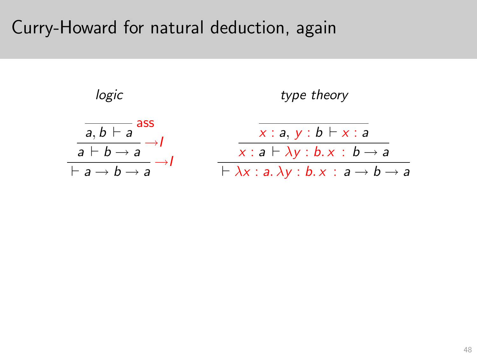### Curry-Howard for natural deduction, again

<span id="page-47-0"></span>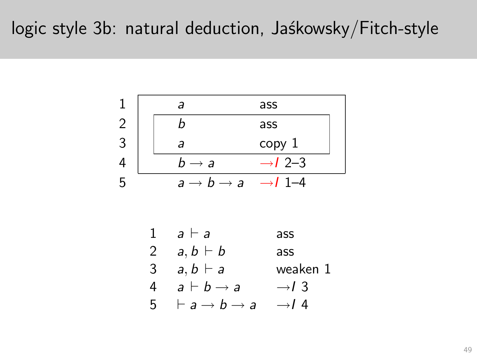### logic style 3b: natural deduction, Jaśkowsky/Fitch-style



<span id="page-48-0"></span>

| 1 | $a \vdash a$                           | ass               |
|---|----------------------------------------|-------------------|
| 2 | $a, b \vdash b$                        | ass               |
| 3 | $a, b \vdash a$                        | weaken 1          |
| 4 | $a \vdash b \rightarrow a$             | $\rightarrow l$ 3 |
| 5 | $\vdash a \rightarrow b \rightarrow a$ | $\rightarrow l$ 4 |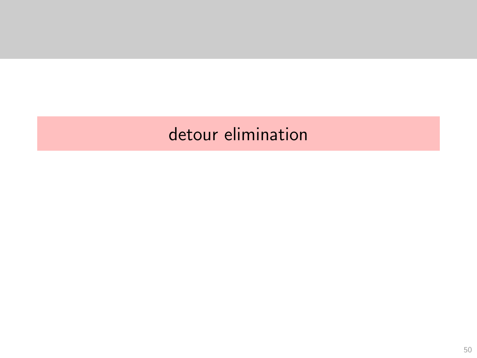# <span id="page-49-0"></span>detour elimination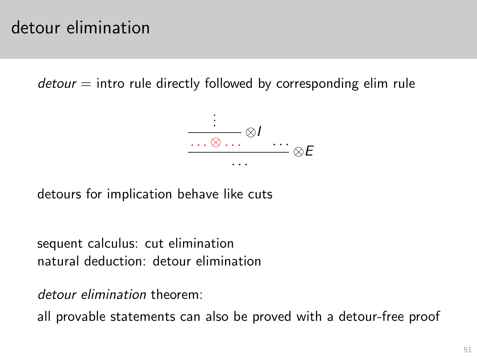$d$ etour  $=$  intro rule directly followed by corresponding elim rule



detours for implication behave like cuts

sequent calculus: cut elimination natural deduction: detour elimination

detour elimination theorem:

<span id="page-50-0"></span>all provable statements can also be proved with a detour-free proof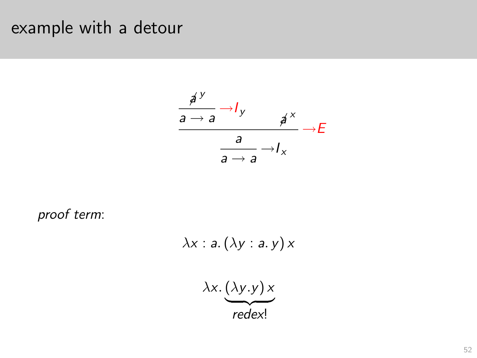## example with a detour



<span id="page-51-0"></span>proof term:

$$
\lambda x : a. (\lambda y : a. y) \times
$$

$$
\lambda x. (\lambda y. y) \times
$$

$$
redex!
$$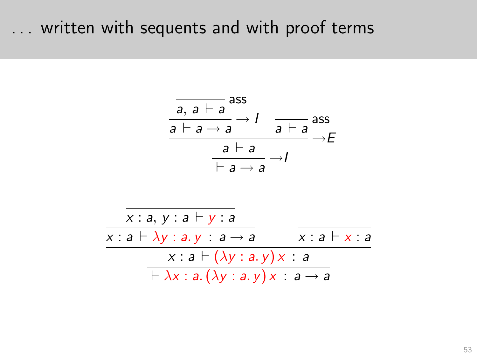### ... written with sequents and with proof terms

<span id="page-52-0"></span>
$$
\frac{\overline{a, a \vdash a} \xrightarrow{dss}}{a \vdash a \rightarrow a} \xrightarrow{f} \qquad \overline{a \vdash a} \xrightarrow{ass} \overline{a \vdash a} \xrightarrow{a \vdash a} \overline{a \vdash a} \xrightarrow{f} \overline{a \rightarrow a} \xrightarrow{f} \overline{a \rightarrow a} \xrightarrow{x : a, y : a \vdash y : a} \overline{x : a \vdash \lambda y : a, y \vdash x : a} \xrightarrow{x : a \vdash (\lambda y : a, y) \times : a} \overline{\vdash \lambda x : a. (\lambda y : a, y) \times : a \rightarrow a}
$$

 $\sim$   $\sim$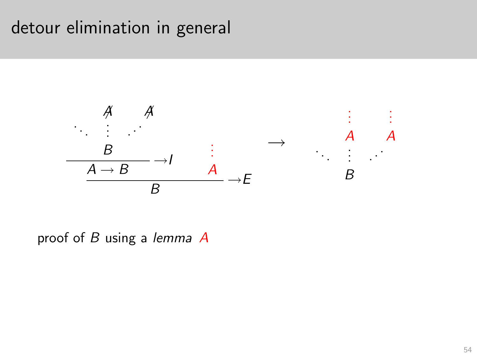### detour elimination in general



<span id="page-53-0"></span>proof of  $B$  using a lemma  $A$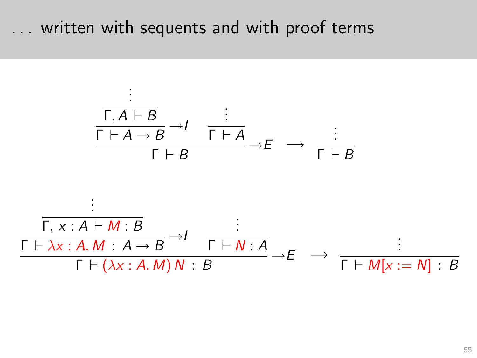## . . . written with sequents and with proof terms

<span id="page-54-0"></span>
$$
\frac{\frac{\vdots}{\Gamma \vdash A \rightarrow B} \rightarrow I \quad \frac{\vdots}{\Gamma \vdash A} \rightarrow E \rightarrow \frac{\vdots}{\Gamma \vdash B}}{\Gamma \vdash B} \rightarrow E \rightarrow \frac{\vdots}{\Gamma \vdash B}
$$
\n
$$
\frac{\frac{\vdots}{\Gamma \vdash \lambda x : A \vdash M : B} \rightarrow I \quad \frac{\vdots}{\Gamma \vdash N : A}}{\Gamma \vdash (\lambda x : A. M) N : B} \rightarrow E \rightarrow \frac{\vdots}{\Gamma \vdash M[x := N] : B}
$$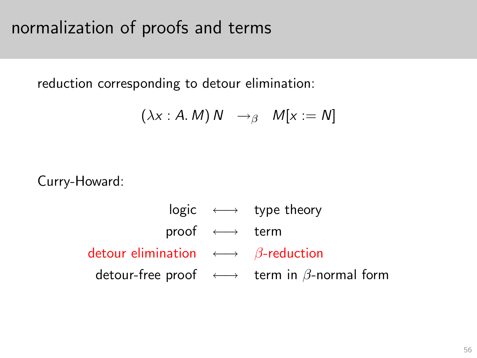# normalization of proofs and terms

reduction corresponding to detour elimination:

$$
(\lambda x : A.M) N \rightarrow_{\beta} M[x := N]
$$

<span id="page-55-0"></span>Curry-Howard:

 $logic \leftrightarrow type theory$ proof ←→ term detour elimination  $\longleftrightarrow$   $\beta$ -reduction detour-free proof  $\longleftrightarrow$  term in  $\beta$ -normal form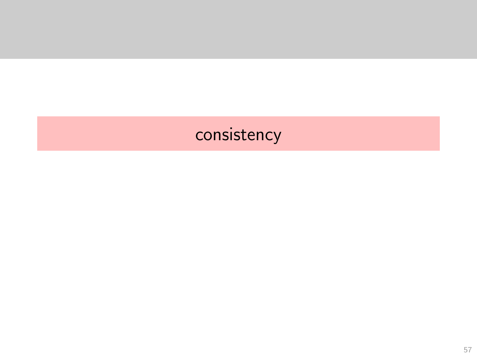# <span id="page-56-0"></span>consistency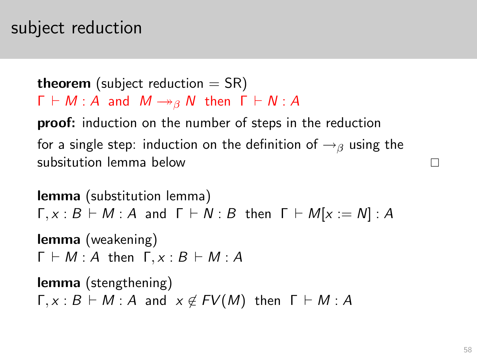# subject reduction

**theorem** (subject reduction  $=$  SR)  $\Gamma \vdash M : A$  and  $M \rightarrow_{\beta} N$  then  $\Gamma \vdash N : A$ 

proof: induction on the number of steps in the reduction for a single step: induction on the definition of  $\rightarrow$ <sub>β</sub> using the subsitution lemma below

<span id="page-57-0"></span>lemma (substitution lemma)  $\Gamma, x : B \vdash M : A$  and  $\Gamma \vdash N : B$  then  $\Gamma \vdash M[x := N] : A$ lemma (weakening)  $\Gamma \vdash M : A$  then  $\Gamma, x : B \vdash M : A$ lemma (stengthening)  $\Gamma, x : B \vdash M : A$  and  $x \notin FV(M)$  then  $\Gamma \vdash M : A$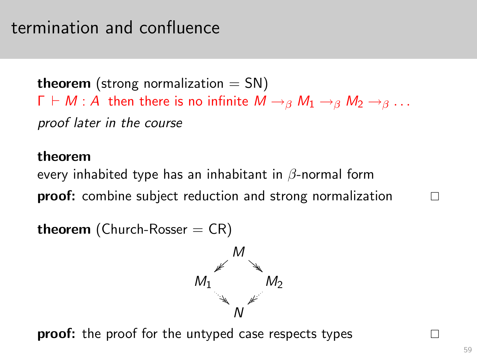## termination and confluence

**theorem** (strong normalization  $=$  SN)  $\Gamma \vdash M : A$  then there is no infinite  $M \rightarrow_{\beta} M_1 \rightarrow_{\beta} M_2 \rightarrow_{\beta} \ldots$ proof later in the course

#### theorem

every inhabited type has an inhabitant in  $\beta$ -normal form proof: combine subject reduction and strong normalization

**theorem** (Church-Rosser  $= CR$ )



<span id="page-58-0"></span>**proof:** the proof for the untyped case respects types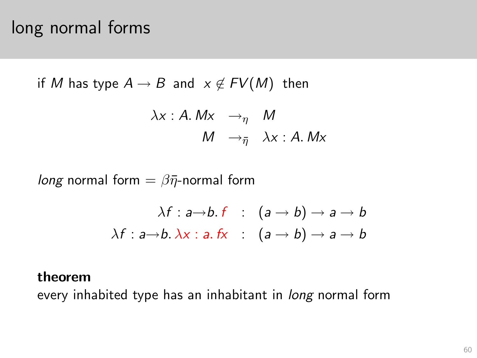## long normal forms

if *M* has type 
$$
A \rightarrow B
$$
 and  $x \notin FV(M)$  then  
\n $\lambda x : A. Mx \rightarrow_{\eta} M$   
\n $M \rightarrow_{\overline{\eta}} \lambda x : A. Mx$ 

*long* normal form =  $\beta \bar{\eta}$ -normal form

$$
\lambda f : a \rightarrow b. \ f : (a \rightarrow b) \rightarrow a \rightarrow b
$$

$$
\lambda f : a \rightarrow b. \ \lambda x : a. \ fx : (a \rightarrow b) \rightarrow a \rightarrow b
$$

#### theorem

<span id="page-59-0"></span>every inhabited type has an inhabitant in *long* normal form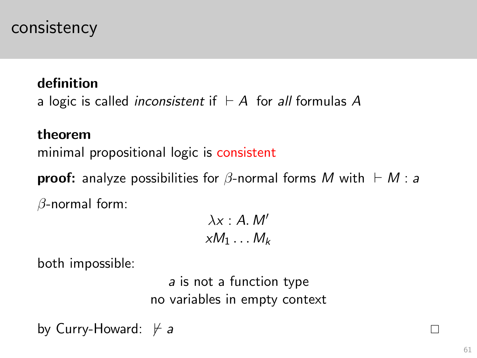### consistency

#### definition

a logic is called *inconsistent* if  $⊢ A$  for all formulas A

#### theorem

minimal propositional logic is consistent

**proof:** analyze possibilities for  $\beta$ -normal forms M with  $\vdash M$  : a  $\beta$ -normal form:

$$
\lambda x : A. M'
$$

$$
xM_1 \dots M_k
$$

both impossible:

a is not a function type no variables in empty context

<span id="page-60-0"></span>by Curry-Howard:  $\forall a$